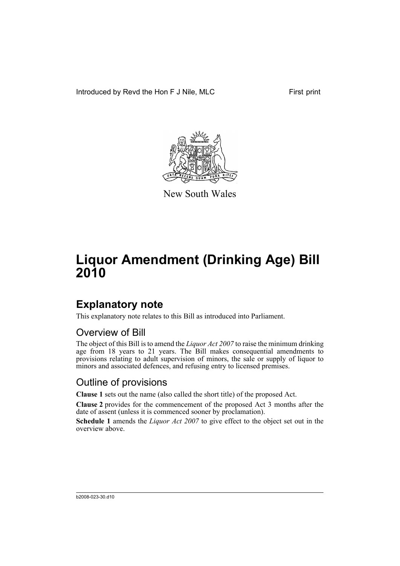Introduced by Revd the Hon F J Nile, MLC First print



New South Wales

# **Liquor Amendment (Drinking Age) Bill 2010**

### **Explanatory note**

This explanatory note relates to this Bill as introduced into Parliament.

#### Overview of Bill

The object of this Bill is to amend the *Liquor Act 2007* to raise the minimum drinking age from 18 years to 21 years. The Bill makes consequential amendments to provisions relating to adult supervision of minors, the sale or supply of liquor to minors and associated defences, and refusing entry to licensed premises.

#### Outline of provisions

**Clause 1** sets out the name (also called the short title) of the proposed Act.

**Clause 2** provides for the commencement of the proposed Act 3 months after the date of assent (unless it is commenced sooner by proclamation).

**Schedule 1** amends the *Liquor Act 2007* to give effect to the object set out in the overview above.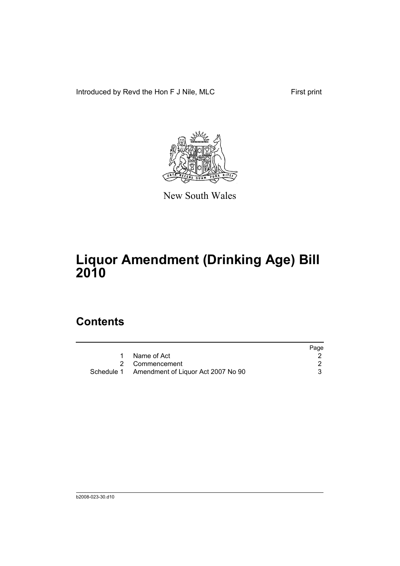Introduced by Revd the Hon F J Nile, MLC First print



New South Wales

## **Liquor Amendment (Drinking Age) Bill 2010**

#### **Contents**

|                                               | Page |
|-----------------------------------------------|------|
| Name of Act                                   |      |
| 2 Commencement                                |      |
| Schedule 1 Amendment of Liquor Act 2007 No 90 |      |
|                                               |      |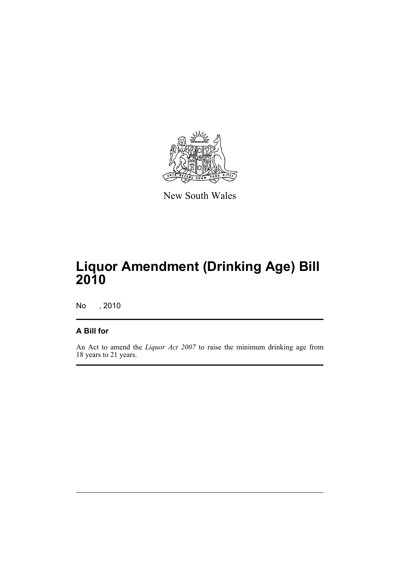

New South Wales

## **Liquor Amendment (Drinking Age) Bill 2010**

No , 2010

#### **A Bill for**

An Act to amend the *Liquor Act 2007* to raise the minimum drinking age from 18 years to 21 years.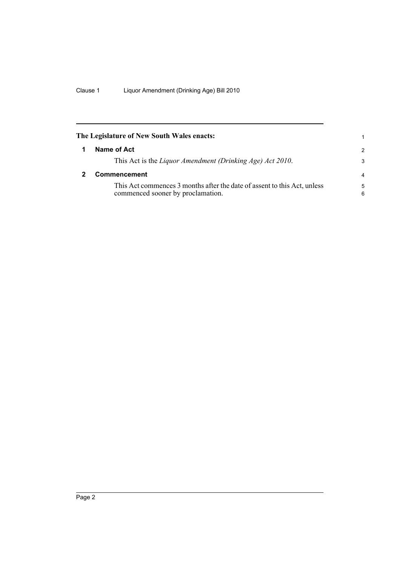<span id="page-5-1"></span><span id="page-5-0"></span>

| The Legislature of New South Wales enacts: |                                                                                                               | 1              |
|--------------------------------------------|---------------------------------------------------------------------------------------------------------------|----------------|
| 1                                          | Name of Act                                                                                                   | $\mathcal{P}$  |
|                                            | This Act is the Liquor Amendment (Drinking Age) Act 2010.                                                     | 3              |
|                                            | Commencement                                                                                                  | $\overline{a}$ |
|                                            | This Act commences 3 months after the date of assent to this Act, unless<br>commenced sooner by proclamation. | 5<br>6         |